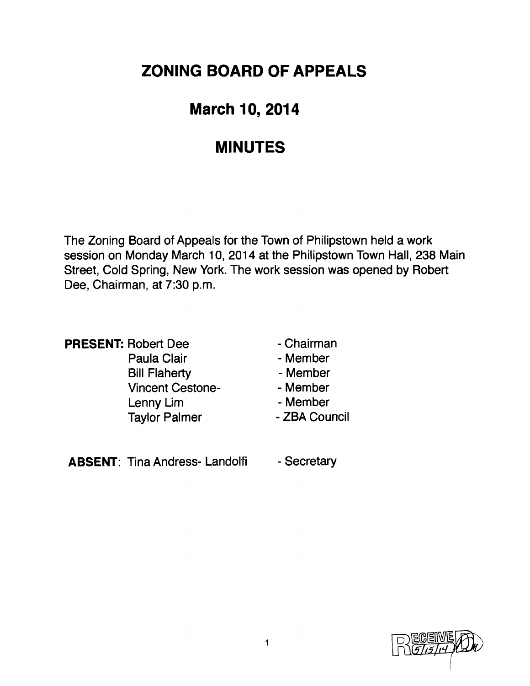# **ZONING BOARD OF APPEALS**

# **March 10, 2014**

### **MINUTES**

The Zoning Board of Appeals for the Town of Philipstown held a work session on Monday March 10, 2014 at the Philipstown Town Hall, 238 Main Street, Cold Spring, New York. The work session was opened by Robert Dee, Chairman, at 7:30 p.m.

|  | <b>PRESENT: Robert Dee</b> |
|--|----------------------------|
|  | Paula Clair                |
|  | <b>Bill Flaherty</b>       |
|  | <b>Vincent Cestone</b>     |
|  | Lenny Lim                  |
|  | <b>Taylor Palmer</b>       |

- Chairman
- Merriber
- Member
- Member
- Member
- Taylor Palmer  **ZBA Council**

ABSENT: Tina Andress- Landolfi - Secretary

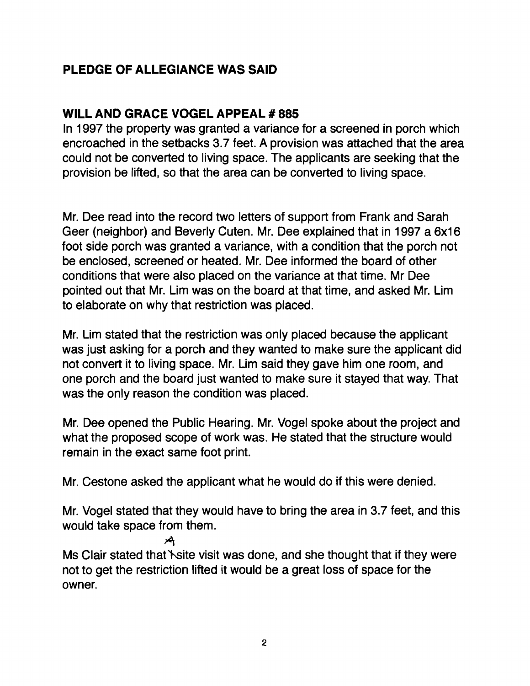### **PLEDGE OF ALLEGIANCE WAS SAID**

#### **WILL AND GRACE VOGEL APPEAL # 885**

In 1997 the property was granted a variance for a screened in porch which encroached in the setbacks 3.7 feet. A provision was attached that the area could not be converted to living space. The applicants are seeking that the provision be lifted, so that the area can be converted to living space.

Mr. Dee read into the record two letters of support from Frank and Sarah Geer (neighbor) and Beverly Cuten. Mr. Dee explained that in 1997 a 6x16 foot side porch was granted a variance, with a condition that the porch not be enclosed, screened or heated. Mr. Dee informed the board of other conditions that were also placed on the variance at that time. Mr Dee pointed out that Mr. Lim was on the board at that time, and asked Mr. Lim to elaborate on why that restriction was placed.

Mr. Lim stated that the restriction was only placed because the applicant was just asking for a porch and they wanted to make sure the applicant did not convert it to living space. Mr. Lim said they gave him one room. and one porch and the board just wanted to make sure it stayed that way. That was the only reason the condition was placed.

Mr. Dee opened the Public Hearing. Mr. Vogel spoke about the project and what the proposed scope of work was. He stated that the structure would remain in the exact same foot print.

Mr. Cestone asked the applicant what he would do if this were denied.

Mr. Vogel stated that they would have to bring the area in 3.7 feet, and this would take space from them.

-\*t

Ms Clair stated that Site visit was done, and she thought that if they were not to get the restriction lifted it would be a great loss of space for the owner.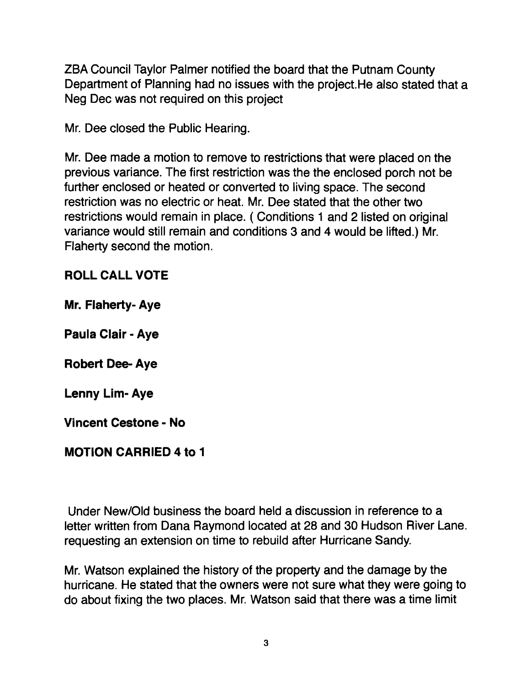ZBA Council Taylor Palmer notified the board that the Putnam County Department of Planning had no issues with the project.He also stated that a Neg Dec was not required on this project

Mr. Dee closed the Public Hearing.

Mr. Dee made a motion to remove to restrictions that were placed on the previous variance. The first restriction was the the enclosed porch not be further enclosed or heated or converted to living space. The second restriction was no electric or heat. Mr. Dee stated that the other two restrictions would remain in place. ( Conditions 1 and 2 listed on original variance would still remain and conditions 3 and 4 would be lifted.) Mr. Flaherty second the motion.

#### **ROLL CALL VOTE**

**Mr. Flaherty- Aye** 

**Paula Clair - Aye** 

**Robert Dee. Aye** 

**Lenny Lim- Aye** 

**Vincent Cestone - No** 

#### **MOTION CARRIED 4 to 1**

Under New/Old business the board held a discussion in reference to a letter written from Dana Raymond located at 28 and 30 Hudson River Lane. requesting an extension on time to rebuild after Hurricane Sandy.

Mr. Watson explained the history of the property and the damage by the hurricane. He stated that the owners were not sure what they were going to do about fixing the two places. Mr. Watson said that there was a time limit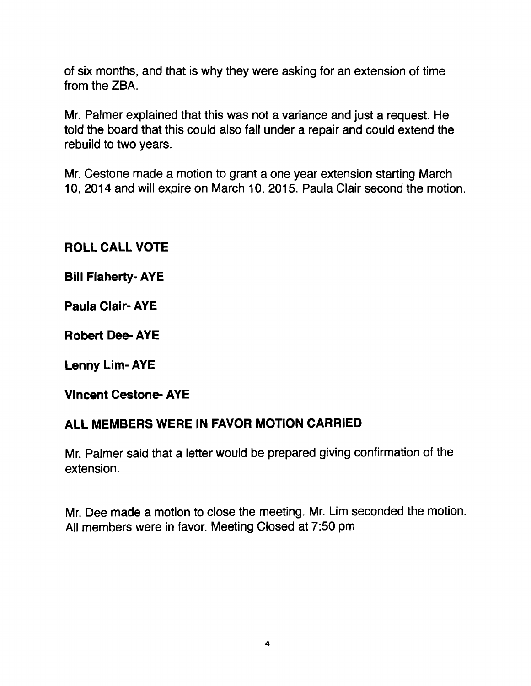of six months, and that is why they were asking for an extension of time from the ZBA.

Mr. Palmer explained that this was not a variance and just a request. He told the board that this could also fall under a repair and could extend the rebuild to two years.

Mr. Cestone made a motion to grant a one year extension starting March 10, 2014 and will expire on March 10, 2015. Paula Clair second the motion.

**ROLL CALL VOTE** 

**Bill Flaherty- AYE** 

**Paula Clair- AYE** 

**Robert Dee- AYE** 

**Lenny Lim- AYE** 

**Vincent Cestone- AYE** 

#### **ALL MEMBERS WERE IN FAVOR MOTION CARRIED**

Mr. Palmer said that a letter would be prepared giving confirmation of the extension.

Mr. Dee made a motion to close the meeting. Mr. Lim seconded the motion. All members were in favor. Meeting Closed at 7:50 pm